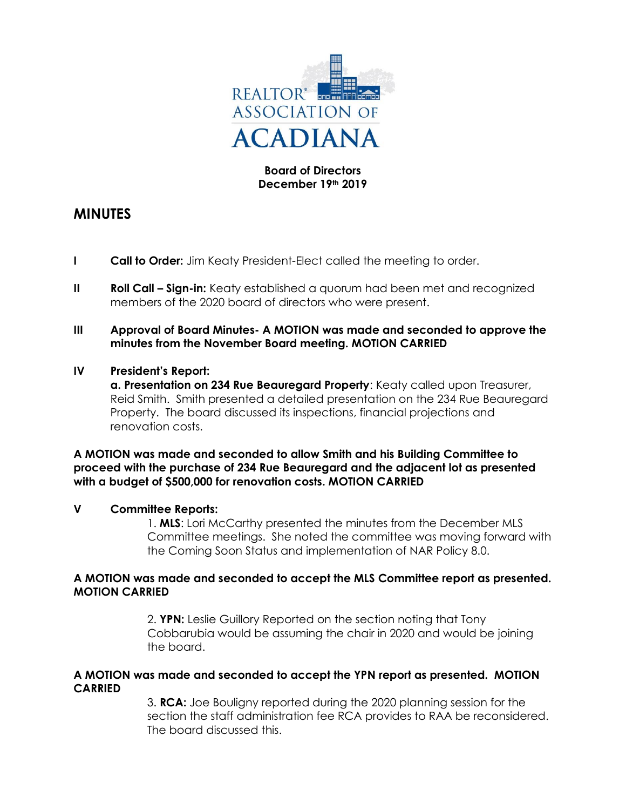

# **Board of Directors December 19th 2019**

# **MINUTES**

- **I Call to Order:** Jim Keaty President-Elect called the meeting to order.
- **II Roll Call Sign-in:** Keaty established a quorum had been met and recognized members of the 2020 board of directors who were present.
- **III Approval of Board Minutes- A MOTION was made and seconded to approve the minutes from the November Board meeting. MOTION CARRIED**

## **IV President's Report:**

**a. Presentation on 234 Rue Beauregard Property**: Keaty called upon Treasurer, Reid Smith. Smith presented a detailed presentation on the 234 Rue Beauregard Property. The board discussed its inspections, financial projections and renovation costs.

## **A MOTION was made and seconded to allow Smith and his Building Committee to proceed with the purchase of 234 Rue Beauregard and the adjacent lot as presented with a budget of \$500,000 for renovation costs. MOTION CARRIED**

#### **V Committee Reports:**

1. **MLS**: Lori McCarthy presented the minutes from the December MLS Committee meetings. She noted the committee was moving forward with the Coming Soon Status and implementation of NAR Policy 8.0.

#### **A MOTION was made and seconded to accept the MLS Committee report as presented. MOTION CARRIED**

2. **YPN:** Leslie Guillory Reported on the section noting that Tony Cobbarubia would be assuming the chair in 2020 and would be joining the board.

#### **A MOTION was made and seconded to accept the YPN report as presented. MOTION CARRIED**

3. **RCA:** Joe Bouligny reported during the 2020 planning session for the section the staff administration fee RCA provides to RAA be reconsidered. The board discussed this.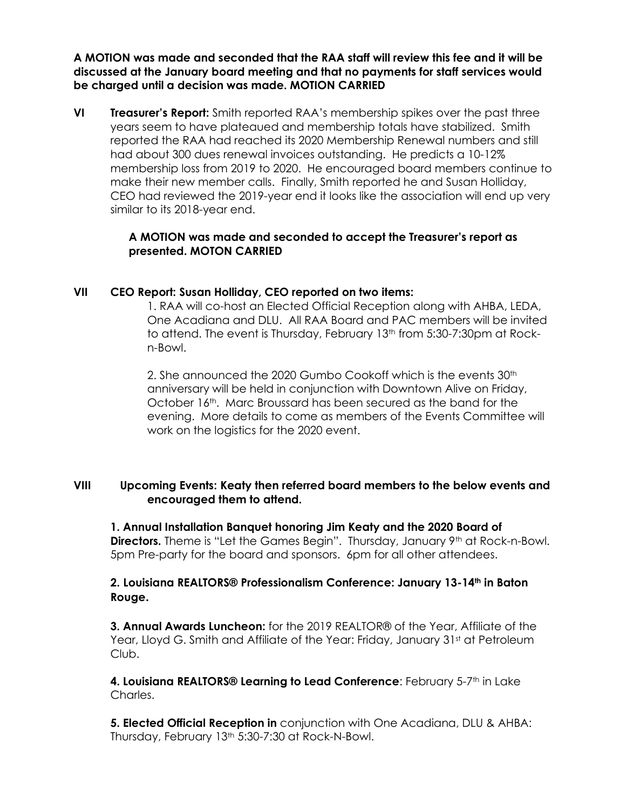**A MOTION was made and seconded that the RAA staff will review this fee and it will be discussed at the January board meeting and that no payments for staff services would be charged until a decision was made. MOTION CARRIED**

**VI Treasurer's Report:** Smith reported RAA's membership spikes over the past three years seem to have plateaued and membership totals have stabilized. Smith reported the RAA had reached its 2020 Membership Renewal numbers and still had about 300 dues renewal invoices outstanding. He predicts a 10-12% membership loss from 2019 to 2020. He encouraged board members continue to make their new member calls. Finally, Smith reported he and Susan Holliday, CEO had reviewed the 2019-year end it looks like the association will end up very similar to its 2018-year end.

## **A MOTION was made and seconded to accept the Treasurer's report as presented. MOTON CARRIED**

# **VII CEO Report: Susan Holliday, CEO reported on two items:**

1. RAA will co-host an Elected Official Reception along with AHBA, LEDA, One Acadiana and DLU. All RAA Board and PAC members will be invited to attend. The event is Thursday, February 13<sup>th</sup> from 5:30-7:30pm at Rockn-Bowl.

2. She announced the 2020 Gumbo Cookoff which is the events 30<sup>th</sup> anniversary will be held in conjunction with Downtown Alive on Friday, October 16th. Marc Broussard has been secured as the band for the evening. More details to come as members of the Events Committee will work on the logistics for the 2020 event.

## **VIII Upcoming Events: Keaty then referred board members to the below events and encouraged them to attend.**

**1. Annual Installation Banquet honoring Jim Keaty and the 2020 Board of Directors.** Theme is "Let the Games Begin". Thursday, January 9<sup>th</sup> at Rock-n-Bowl. 5pm Pre-party for the board and sponsors. 6pm for all other attendees.

# **2. Louisiana REALTORS® Professionalism Conference: January 13-14th in Baton Rouge.**

**3. Annual Awards Luncheon:** for the 2019 REALTOR® of the Year, Affiliate of the Year, Lloyd G. Smith and Affiliate of the Year: Friday, January 31st at Petroleum Club.

4. Louisiana REALTORS® Learning to Lead Conference: February 5-7<sup>th</sup> in Lake Charles.

**5. Elected Official Reception in** conjunction with One Acadiana, DLU & AHBA: Thursday, February 13<sup>th</sup> 5:30-7:30 at Rock-N-Bowl.